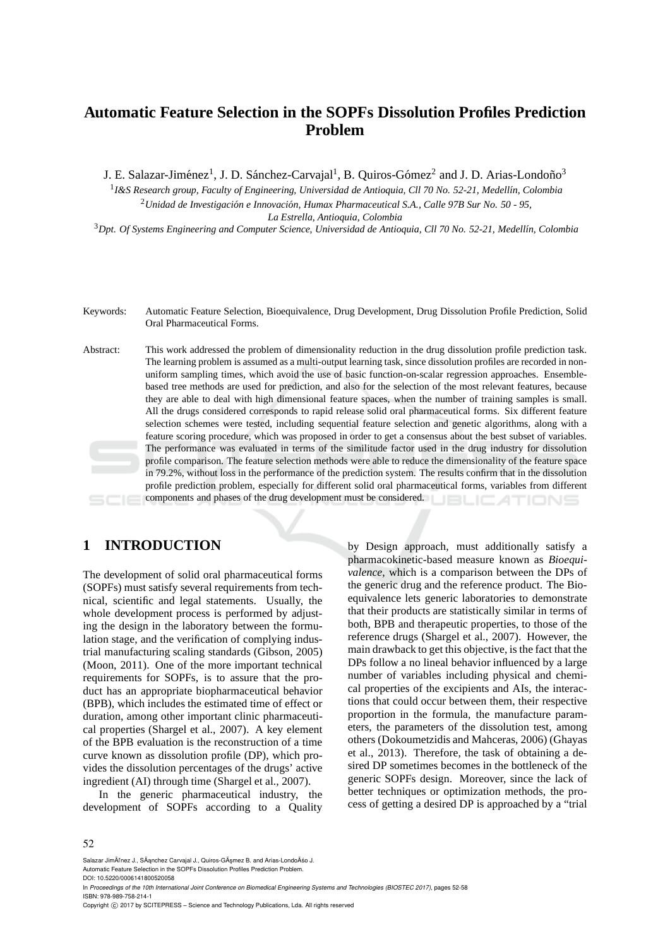# **Automatic Feature Selection in the SOPFs Dissolution Profiles Prediction Problem**

J. E. Salazar-Jiménez<sup>1</sup>, J. D. Sánchez-Carvajal<sup>1</sup>, B. Quiros-Gómez<sup>2</sup> and J. D. Arias-Londoño<sup>3</sup>

<sup>1</sup> I&S Research group, Faculty of Engineering, Universidad de Antioquia, Cll 70 No. 52-21, Medellín, Colombia <sup>2</sup> Unidad de Investigación e Innovación, Humax Pharmaceutical S.A., Calle 97B Sur No. 50 - 95, *La Estrella, Antioquia, Colombia*

<sup>3</sup>*Dpt. Of Systems Engineering and Computer Science, Universidad de Antioquia, Cll 70 No. 52-21, Medell´ın, Colombia*

- Keywords: Automatic Feature Selection, Bioequivalence, Drug Development, Drug Dissolution Profile Prediction, Solid Oral Pharmaceutical Forms.
- Abstract: This work addressed the problem of dimensionality reduction in the drug dissolution profile prediction task. The learning problem is assumed as a multi-output learning task, since dissolution profiles are recorded in nonuniform sampling times, which avoid the use of basic function-on-scalar regression approaches. Ensemblebased tree methods are used for prediction, and also for the selection of the most relevant features, because they are able to deal with high dimensional feature spaces, when the number of training samples is small. All the drugs considered corresponds to rapid release solid oral pharmaceutical forms. Six different feature selection schemes were tested, including sequential feature selection and genetic algorithms, along with a feature scoring procedure, which was proposed in order to get a consensus about the best subset of variables. The performance was evaluated in terms of the similitude factor used in the drug industry for dissolution profile comparison. The feature selection methods were able to reduce the dimensionality of the feature space in 79.2%, without loss in the performance of the prediction system. The results confirm that in the dissolution profile prediction problem, especially for different solid oral pharmaceutical forms, variables from different components and phases of the drug development must be considered. TIONS

## **1 INTRODUCTION**

The development of solid oral pharmaceutical forms (SOPFs) must satisfy several requirements from technical, scientific and legal statements. Usually, the whole development process is performed by adjusting the design in the laboratory between the formulation stage, and the verification of complying industrial manufacturing scaling standards (Gibson, 2005) (Moon, 2011). One of the more important technical requirements for SOPFs, is to assure that the product has an appropriate biopharmaceutical behavior (BPB), which includes the estimated time of effect or duration, among other important clinic pharmaceutical properties (Shargel et al., 2007). A key element of the BPB evaluation is the reconstruction of a time curve known as dissolution profile (DP), which provides the dissolution percentages of the drugs' active ingredient (AI) through time (Shargel et al., 2007).

In the generic pharmaceutical industry, the development of SOPFs according to a Quality

by Design approach, must additionally satisfy a pharmacokinetic-based measure known as *Bioequivalence*, which is a comparison between the DPs of the generic drug and the reference product. The Bioequivalence lets generic laboratories to demonstrate that their products are statistically similar in terms of both, BPB and therapeutic properties, to those of the reference drugs (Shargel et al., 2007). However, the main drawback to get this objective, is the fact that the DPs follow a no lineal behavior influenced by a large number of variables including physical and chemical properties of the excipients and AIs, the interactions that could occur between them, their respective proportion in the formula, the manufacture parameters, the parameters of the dissolution test, among others (Dokoumetzidis and Mahceras, 2006) (Ghayas et al., 2013). Therefore, the task of obtaining a desired DP sometimes becomes in the bottleneck of the generic SOPFs design. Moreover, since the lack of better techniques or optimization methods, the process of getting a desired DP is approached by a "trial

Salazar JimÃľnez J., SÃanchez Carvajal J., Quiros-GÃsmez B. and Arias-LondoÃso J.

In *Proceedings of the 10th International Joint Conference on Biomedical Engineering Systems and Technologies (BIOSTEC 2017)*, pages 52-58 ISBN: 978-989-758-214-1

Automatic Feature Selection in the SOPFs Dissolution Profiles Prediction Problem. DOI: 10.5220/0006141800520058

Copyright C 2017 by SCITEPRESS - Science and Technology Publications, Lda. All rights reserved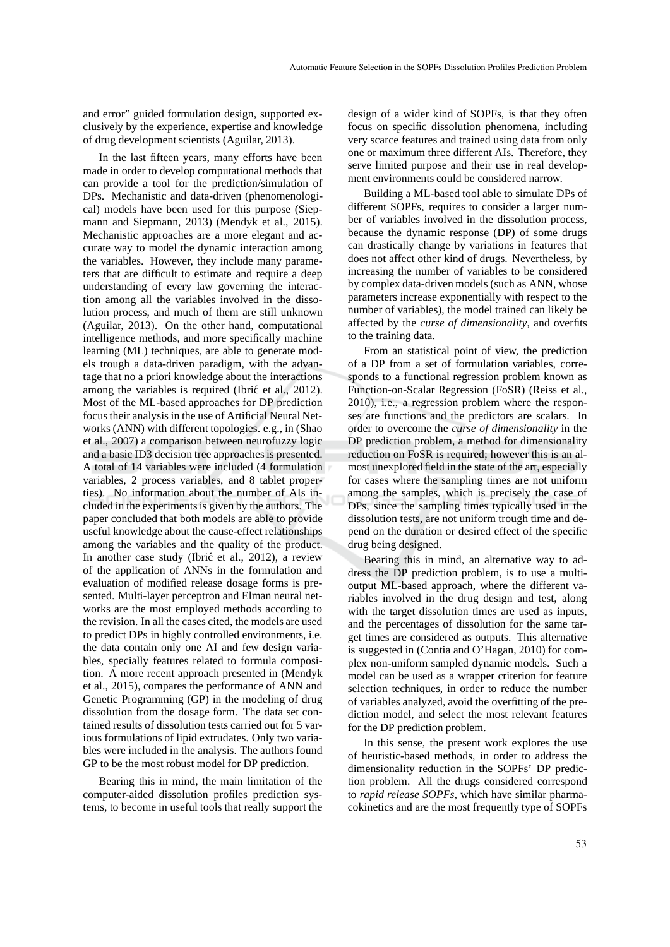and error" guided formulation design, supported exclusively by the experience, expertise and knowledge of drug development scientists (Aguilar, 2013).

In the last fifteen years, many efforts have been made in order to develop computational methods that can provide a tool for the prediction/simulation of DPs. Mechanistic and data-driven (phenomenological) models have been used for this purpose (Siepmann and Siepmann, 2013) (Mendyk et al., 2015). Mechanistic approaches are a more elegant and accurate way to model the dynamic interaction among the variables. However, they include many parameters that are difficult to estimate and require a deep understanding of every law governing the interaction among all the variables involved in the dissolution process, and much of them are still unknown (Aguilar, 2013). On the other hand, computational intelligence methods, and more specifically machine learning (ML) techniques, are able to generate models trough a data-driven paradigm, with the advantage that no a priori knowledge about the interactions among the variables is required (Ibrić et al., 2012). Most of the ML-based approaches for DP prediction focus their analysis in the use of Artificial Neural Networks (ANN) with different topologies. e.g., in (Shao et al., 2007) a comparison between neurofuzzy logic and a basic ID3 decision tree approaches is presented. A total of 14 variables were included (4 formulation variables, 2 process variables, and 8 tablet properties). No information about the number of AIs included in the experiments is given by the authors. The paper concluded that both models are able to provide useful knowledge about the cause-effect relationships among the variables and the quality of the product. In another case study (Ibrić et al., 2012), a review of the application of ANNs in the formulation and evaluation of modified release dosage forms is presented. Multi-layer perceptron and Elman neural networks are the most employed methods according to the revision. In all the cases cited, the models are used to predict DPs in highly controlled environments, i.e. the data contain only one AI and few design variables, specially features related to formula composition. A more recent approach presented in (Mendyk et al., 2015), compares the performance of ANN and Genetic Programming (GP) in the modeling of drug dissolution from the dosage form. The data set contained results of dissolution tests carried out for 5 various formulations of lipid extrudates. Only two variables were included in the analysis. The authors found GP to be the most robust model for DP prediction.

Bearing this in mind, the main limitation of the computer-aided dissolution profiles prediction systems, to become in useful tools that really support the design of a wider kind of SOPFs, is that they often focus on specific dissolution phenomena, including very scarce features and trained using data from only one or maximum three different AIs. Therefore, they serve limited purpose and their use in real development environments could be considered narrow.

Building a ML-based tool able to simulate DPs of different SOPFs, requires to consider a larger number of variables involved in the dissolution process, because the dynamic response (DP) of some drugs can drastically change by variations in features that does not affect other kind of drugs. Nevertheless, by increasing the number of variables to be considered by complex data-driven models (such as ANN, whose parameters increase exponentially with respect to the number of variables), the model trained can likely be affected by the *curse of dimensionality*, and overfits to the training data.

From an statistical point of view, the prediction of a DP from a set of formulation variables, corresponds to a functional regression problem known as Function-on-Scalar Regression (FoSR) (Reiss et al., 2010), i.e., a regression problem where the responses are functions and the predictors are scalars. In order to overcome the *curse of dimensionality* in the DP prediction problem, a method for dimensionality reduction on FoSR is required; however this is an almost unexplored field in the state of the art, especially for cases where the sampling times are not uniform among the samples, which is precisely the case of DPs, since the sampling times typically used in the dissolution tests, are not uniform trough time and depend on the duration or desired effect of the specific drug being designed.

Bearing this in mind, an alternative way to address the DP prediction problem, is to use a multioutput ML-based approach, where the different variables involved in the drug design and test, along with the target dissolution times are used as inputs, and the percentages of dissolution for the same target times are considered as outputs. This alternative is suggested in (Contia and O'Hagan, 2010) for complex non-uniform sampled dynamic models. Such a model can be used as a wrapper criterion for feature selection techniques, in order to reduce the number of variables analyzed, avoid the overfitting of the prediction model, and select the most relevant features for the DP prediction problem.

In this sense, the present work explores the use of heuristic-based methods, in order to address the dimensionality reduction in the SOPFs' DP prediction problem. All the drugs considered correspond to *rapid release SOPFs*, which have similar pharmacokinetics and are the most frequently type of SOPFs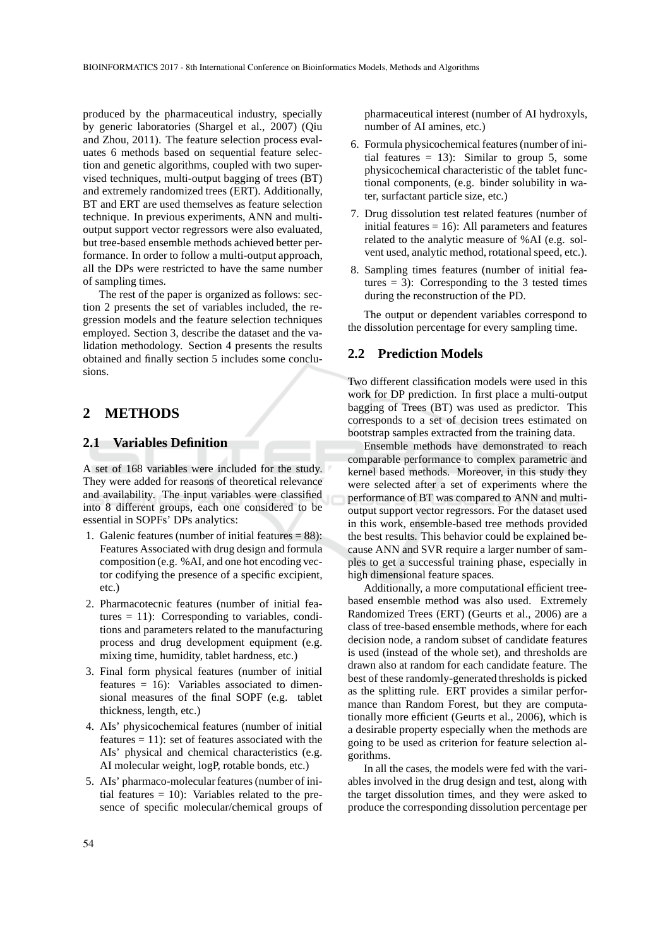produced by the pharmaceutical industry, specially by generic laboratories (Shargel et al., 2007) (Qiu and Zhou, 2011). The feature selection process evaluates 6 methods based on sequential feature selection and genetic algorithms, coupled with two supervised techniques, multi-output bagging of trees (BT) and extremely randomized trees (ERT). Additionally, BT and ERT are used themselves as feature selection technique. In previous experiments, ANN and multioutput support vector regressors were also evaluated, but tree-based ensemble methods achieved better performance. In order to follow a multi-output approach, all the DPs were restricted to have the same number of sampling times.

The rest of the paper is organized as follows: section 2 presents the set of variables included, the regression models and the feature selection techniques employed. Section 3, describe the dataset and the validation methodology. Section 4 presents the results obtained and finally section 5 includes some conclusions.

## **2 METHODS**

#### **2.1 Variables Definition**

A set of 168 variables were included for the study. They were added for reasons of theoretical relevance and availability. The input variables were classified into 8 different groups, each one considered to be essential in SOPFs' DPs analytics:

- 1. Galenic features (number of initial features  $= 88$ ): Features Associated with drug design and formula composition (e.g. %AI, and one hot encoding vector codifying the presence of a specific excipient, etc.)
- 2. Pharmacotecnic features (number of initial features = 11): Corresponding to variables, conditions and parameters related to the manufacturing process and drug development equipment (e.g. mixing time, humidity, tablet hardness, etc.)
- 3. Final form physical features (number of initial features = 16): Variables associated to dimensional measures of the final SOPF (e.g. tablet thickness, length, etc.)
- 4. AIs' physicochemical features (number of initial features  $= 11$ ): set of features associated with the AIs' physical and chemical characteristics (e.g. AI molecular weight, logP, rotable bonds, etc.)
- 5. AIs' pharmaco-molecular features (number of initial features  $= 10$ ): Variables related to the presence of specific molecular/chemical groups of

pharmaceutical interest (number of AI hydroxyls, number of AI amines, etc.)

- 6. Formula physicochemical features (number of initial features  $= 13$ : Similar to group 5, some physicochemical characteristic of the tablet functional components, (e.g. binder solubility in water, surfactant particle size, etc.)
- 7. Drug dissolution test related features (number of initial features  $= 16$ ): All parameters and features related to the analytic measure of %AI (e.g. solvent used, analytic method, rotational speed, etc.).
- 8. Sampling times features (number of initial features  $= 3$ ): Corresponding to the 3 tested times during the reconstruction of the PD.

The output or dependent variables correspond to the dissolution percentage for every sampling time.

## **2.2 Prediction Models**

Two different classification models were used in this work for DP prediction. In first place a multi-output bagging of Trees (BT) was used as predictor. This corresponds to a set of decision trees estimated on bootstrap samples extracted from the training data.

Ensemble methods have demonstrated to reach comparable performance to complex parametric and kernel based methods. Moreover, in this study they were selected after a set of experiments where the performance of BT was compared to ANN and multioutput support vector regressors. For the dataset used in this work, ensemble-based tree methods provided the best results. This behavior could be explained because ANN and SVR require a larger number of samples to get a successful training phase, especially in high dimensional feature spaces.

Additionally, a more computational efficient treebased ensemble method was also used. Extremely Randomized Trees (ERT) (Geurts et al., 2006) are a class of tree-based ensemble methods, where for each decision node, a random subset of candidate features is used (instead of the whole set), and thresholds are drawn also at random for each candidate feature. The best of these randomly-generated thresholds is picked as the splitting rule. ERT provides a similar performance than Random Forest, but they are computationally more efficient (Geurts et al., 2006), which is a desirable property especially when the methods are going to be used as criterion for feature selection algorithms.

In all the cases, the models were fed with the variables involved in the drug design and test, along with the target dissolution times, and they were asked to produce the corresponding dissolution percentage per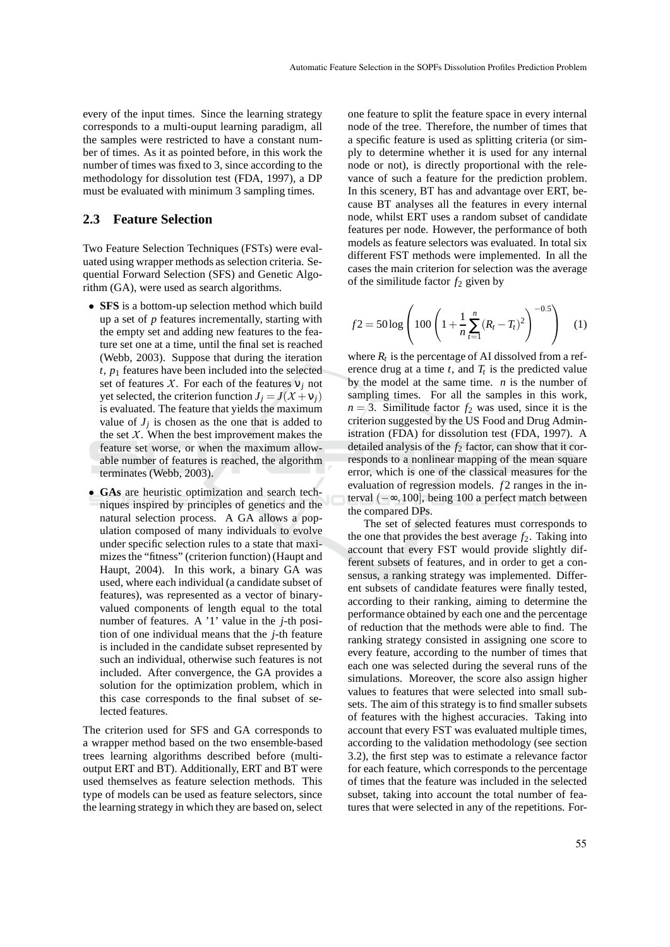every of the input times. Since the learning strategy corresponds to a multi-ouput learning paradigm, all the samples were restricted to have a constant number of times. As it as pointed before, in this work the number of times was fixed to 3, since according to the methodology for dissolution test (FDA, 1997), a DP must be evaluated with minimum 3 sampling times.

#### **2.3 Feature Selection**

Two Feature Selection Techniques (FSTs) were evaluated using wrapper methods as selection criteria. Sequential Forward Selection (SFS) and Genetic Algorithm (GA), were used as search algorithms.

- **SFS** is a bottom-up selection method which build up a set of *p* features incrementally, starting with the empty set and adding new features to the feature set one at a time, until the final set is reached (Webb, 2003). Suppose that during the iteration  $t$ ,  $p_1$  features have been included into the selected set of features *X*. For each of the features  $v_j$  not yet selected, the criterion function  $J_i = J(X + v_i)$ is evaluated. The feature that yields the maximum value of  $J_j$  is chosen as the one that is added to the set  $X$ . When the best improvement makes the feature set worse, or when the maximum allowable number of features is reached, the algorithm terminates (Webb, 2003).
- **GAs** are heuristic optimization and search techniques inspired by principles of genetics and the natural selection process. A GA allows a population composed of many individuals to evolve under specific selection rules to a state that maximizes the "fitness" (criterion function) (Haupt and Haupt, 2004). In this work, a binary GA was used, where each individual (a candidate subset of features), was represented as a vector of binaryvalued components of length equal to the total number of features. A '1' value in the *j*-th position of one individual means that the *j*-th feature is included in the candidate subset represented by such an individual, otherwise such features is not included. After convergence, the GA provides a solution for the optimization problem, which in this case corresponds to the final subset of selected features.

The criterion used for SFS and GA corresponds to a wrapper method based on the two ensemble-based trees learning algorithms described before (multioutput ERT and BT). Additionally, ERT and BT were used themselves as feature selection methods. This type of models can be used as feature selectors, since the learning strategy in which they are based on, select

one feature to split the feature space in every internal node of the tree. Therefore, the number of times that a specific feature is used as splitting criteria (or simply to determine whether it is used for any internal node or not), is directly proportional with the relevance of such a feature for the prediction problem. In this scenery, BT has and advantage over ERT, because BT analyses all the features in every internal node, whilst ERT uses a random subset of candidate features per node. However, the performance of both models as feature selectors was evaluated. In total six different FST methods were implemented. In all the cases the main criterion for selection was the average of the similitude factor  $f_2$  given by

$$
f2 = 50 \log \left( 100 \left( 1 + \frac{1}{n} \sum_{t=1}^{n} (R_t - T_t)^2 \right)^{-0.5} \right) \tag{1}
$$

where  $R_t$  is the percentage of AI dissolved from a reference drug at a time  $t$ , and  $T_t$  is the predicted value by the model at the same time. *n* is the number of sampling times. For all the samples in this work,  $n = 3$ . Similitude factor  $f_2$  was used, since it is the criterion suggested by the US Food and Drug Administration (FDA) for dissolution test (FDA, 1997). A detailed analysis of the  $f_2$  factor, can show that it corresponds to a nonlinear mapping of the mean square error, which is one of the classical measures for the evaluation of regression models.  $f2$  ranges in the interval (−∞,100], being 100 a perfect match between the compared DPs.

The set of selected features must corresponds to the one that provides the best average  $f_2$ . Taking into account that every FST would provide slightly different subsets of features, and in order to get a consensus, a ranking strategy was implemented. Different subsets of candidate features were finally tested, according to their ranking, aiming to determine the performance obtained by each one and the percentage of reduction that the methods were able to find. The ranking strategy consisted in assigning one score to every feature, according to the number of times that each one was selected during the several runs of the simulations. Moreover, the score also assign higher values to features that were selected into small subsets. The aim of this strategy is to find smaller subsets of features with the highest accuracies. Taking into account that every FST was evaluated multiple times, according to the validation methodology (see section 3.2), the first step was to estimate a relevance factor for each feature, which corresponds to the percentage of times that the feature was included in the selected subset, taking into account the total number of features that were selected in any of the repetitions. For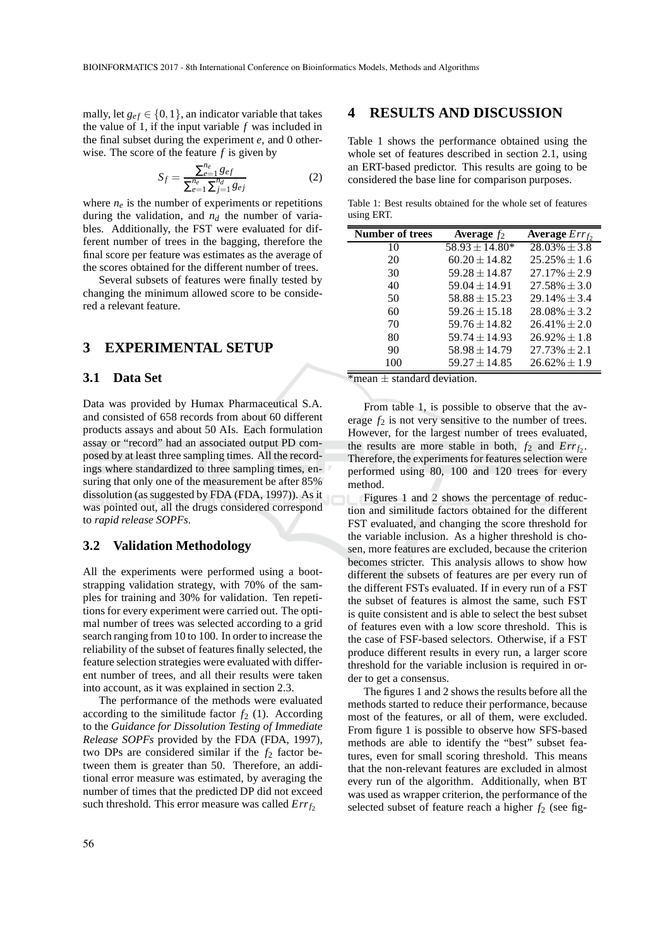mally, let  $g_{ef} \in \{0, 1\}$ , an indicator variable that takes the value of 1, if the input variable *f* was included in the final subset during the experiment *e*, and 0 otherwise. The score of the feature *f* is given by

$$
S_f = \frac{\sum_{e=1}^{n_e} g_{ef}}{\sum_{e=1}^{n_e} \sum_{j=1}^{n_d} g_{ej}} \tag{2}
$$

where  $n_e$  is the number of experiments or repetitions during the validation, and  $n_d$  the number of variables. Additionally, the FST were evaluated for different number of trees in the bagging, therefore the final score per feature was estimates as the average of the scores obtained for the different number of trees.

Several subsets of features were finally tested by changing the minimum allowed score to be considered a relevant feature.

## **3 EXPERIMENTAL SETUP**

#### **3.1 Data Set**

Data was provided by Humax Pharmaceutical S.A. and consisted of 658 records from about 60 different products assays and about 50 AIs. Each formulation assay or "record" had an associated output PD composed by at least three sampling times. All the recordings where standardized to three sampling times, ensuring that only one of the measurement be after 85% dissolution (as suggested by FDA (FDA, 1997)). As it was pointed out, all the drugs considered correspond to *rapid release SOPFs*.

#### **3.2 Validation Methodology**

All the experiments were performed using a bootstrapping validation strategy, with 70% of the samples for training and 30% for validation. Ten repetitions for every experiment were carried out. The optimal number of trees was selected according to a grid search ranging from 10 to 100. In order to increase the reliability of the subset of features finally selected, the feature selection strategies were evaluated with different number of trees, and all their results were taken into account, as it was explained in section 2.3.

The performance of the methods were evaluated according to the similitude factor  $f_2$  (1). According to the *Guidance for Dissolution Testing of Immediate Release SOPFs* provided by the FDA (FDA, 1997), two DPs are considered similar if the  $f_2$  factor between them is greater than 50. Therefore, an additional error measure was estimated, by averaging the number of times that the predicted DP did not exceed such threshold. This error measure was called  $Err_{f_2}$ 

## **4 RESULTS AND DISCUSSION**

Table 1 shows the performance obtained using the whole set of features described in section 2.1, using an ERT-based predictor. This results are going to be considered the base line for comparison purposes.

Table 1: Best results obtained for the whole set of features using ERT.

| <b>Number of trees</b> | Average $f_2$      | <b>Average</b> $Errf$ |
|------------------------|--------------------|-----------------------|
| 10                     | $58.93 \pm 14.80*$ | $28.03\% \pm 3.8$     |
| 20                     | $60.20 \pm 14.82$  | $25.25\% \pm 1.6$     |
| 30                     | $59.28 \pm 14.87$  | $27.17\% \pm 2.9$     |
| 40                     | $59.04 \pm 14.91$  | $27.58\% \pm 3.0$     |
| 50                     | $58.88 \pm 15.23$  | $29.14\% \pm 3.4$     |
| 60                     | $59.26 \pm 15.18$  | $28.08\% \pm 3.2$     |
| 70                     | $59.76 \pm 14.82$  | $26.41\% \pm 2.0$     |
| 80                     | $59.74 \pm 14.93$  | $26.92\% \pm 1.8$     |
| 90                     | $58.98 \pm 14.79$  | $27.73\% \pm 2.1$     |
| 100                    | $59.27 \pm 14.85$  | $26.62\% \pm 1.9$     |

 $*$ mean  $+$  standard deviation.

From table 1, is possible to observe that the average  $f_2$  is not very sensitive to the number of trees. However, for the largest number of trees evaluated, the results are more stable in both,  $f_2$  and  $Err_{f_2}$ . Therefore, the experiments for features selection were performed using 80, 100 and 120 trees for every method.

Figures 1 and 2 shows the percentage of reduction and similitude factors obtained for the different FST evaluated, and changing the score threshold for the variable inclusion. As a higher threshold is chosen, more features are excluded, because the criterion becomes stricter. This analysis allows to show how different the subsets of features are per every run of the different FSTs evaluated. If in every run of a FST the subset of features is almost the same, such FST is quite consistent and is able to select the best subset of features even with a low score threshold. This is the case of FSF-based selectors. Otherwise, if a FST produce different results in every run, a larger score threshold for the variable inclusion is required in order to get a consensus.

The figures 1 and 2 shows the results before all the methods started to reduce their performance, because most of the features, or all of them, were excluded. From figure 1 is possible to observe how SFS-based methods are able to identify the "best" subset features, even for small scoring threshold. This means that the non-relevant features are excluded in almost every run of the algorithm. Additionally, when BT was used as wrapper criterion, the performance of the selected subset of feature reach a higher  $f_2$  (see fig-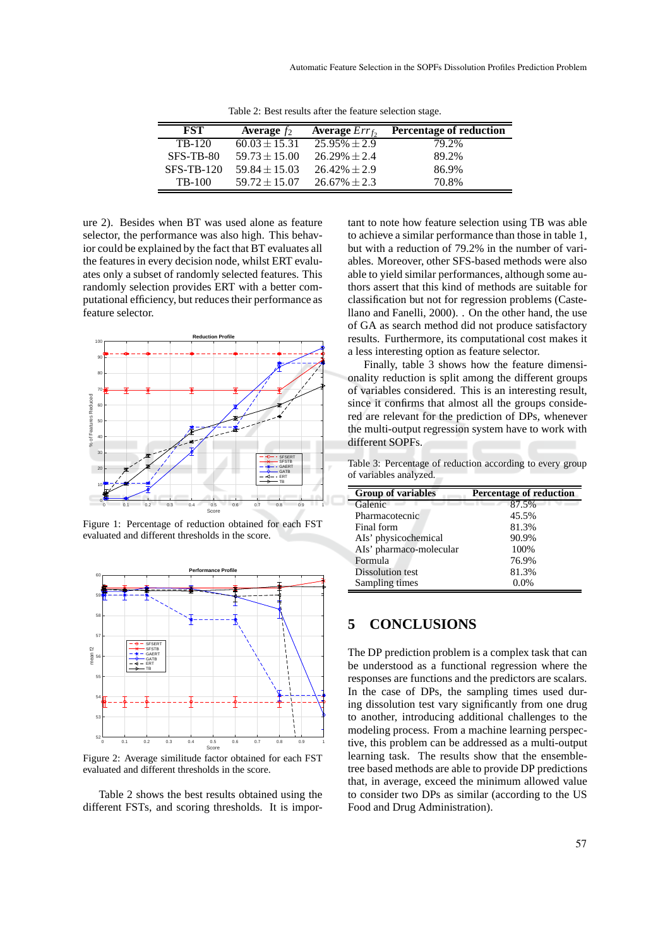| FST               | Average $f_2$     | <b>Average</b> $Errf$ | <b>Percentage of reduction</b> |
|-------------------|-------------------|-----------------------|--------------------------------|
| TB-120            | $60.03 \pm 15.31$ | $25.95\% \pm 2.9$     | 79.2%                          |
| SFS-TB-80         | $59.73 \pm 15.00$ | $26.29\% \pm 2.4$     | 89.2%                          |
| <b>SFS-TB-120</b> | $59.84 \pm 15.03$ | $26.42\% \pm 2.9$     | 86.9%                          |
| TB-100            | $59.72 \pm 15.07$ | $26.67\% \pm 2.3$     | 70.8%                          |

Table 2: Best results after the feature selection stage.

ure 2). Besides when BT was used alone as feature selector, the performance was also high. This behavior could be explained by the fact that BT evaluates all the features in every decision node, whilst ERT evaluates only a subset of randomly selected features. This randomly selection provides ERT with a better computational efficiency, but reduces their performance as feature selector.



Figure 1: Percentage of reduction obtained for each FST evaluated and different thresholds in the score.



Figure 2: Average similitude factor obtained for each FST evaluated and different thresholds in the score.

Table 2 shows the best results obtained using the different FSTs, and scoring thresholds. It is important to note how feature selection using TB was able to achieve a similar performance than those in table 1, but with a reduction of 79.2% in the number of variables. Moreover, other SFS-based methods were also able to yield similar performances, although some authors assert that this kind of methods are suitable for classification but not for regression problems (Castellano and Fanelli, 2000). . On the other hand, the use of GA as search method did not produce satisfactory results. Furthermore, its computational cost makes it a less interesting option as feature selector.

Finally, table 3 shows how the feature dimensionality reduction is split among the different groups of variables considered. This is an interesting result, since it confirms that almost all the groups considered are relevant for the prediction of DPs, whenever the multi-output regression system have to work with different SOPFs.

Table 3: Percentage of reduction according to every group of variables analyzed.

| <b>Group of variables</b> | <b>Percentage of reduction</b> |
|---------------------------|--------------------------------|
| Galenic                   | 87.5%                          |
| Pharmacotecnic            | 45.5%                          |
| Final form                | 81.3%                          |
| AIs' physicochemical      | 90.9%                          |
| AIs' pharmaco-molecular   | 100%                           |
| Formula                   | 76.9%                          |
| Dissolution test          | 81.3%                          |
| Sampling times            | 0.0%                           |

## **5 CONCLUSIONS**

The DP prediction problem is a complex task that can be understood as a functional regression where the responses are functions and the predictors are scalars. In the case of DPs, the sampling times used during dissolution test vary significantly from one drug to another, introducing additional challenges to the modeling process. From a machine learning perspective, this problem can be addressed as a multi-output learning task. The results show that the ensembletree based methods are able to provide DP predictions that, in average, exceed the minimum allowed value to consider two DPs as similar (according to the US Food and Drug Administration).